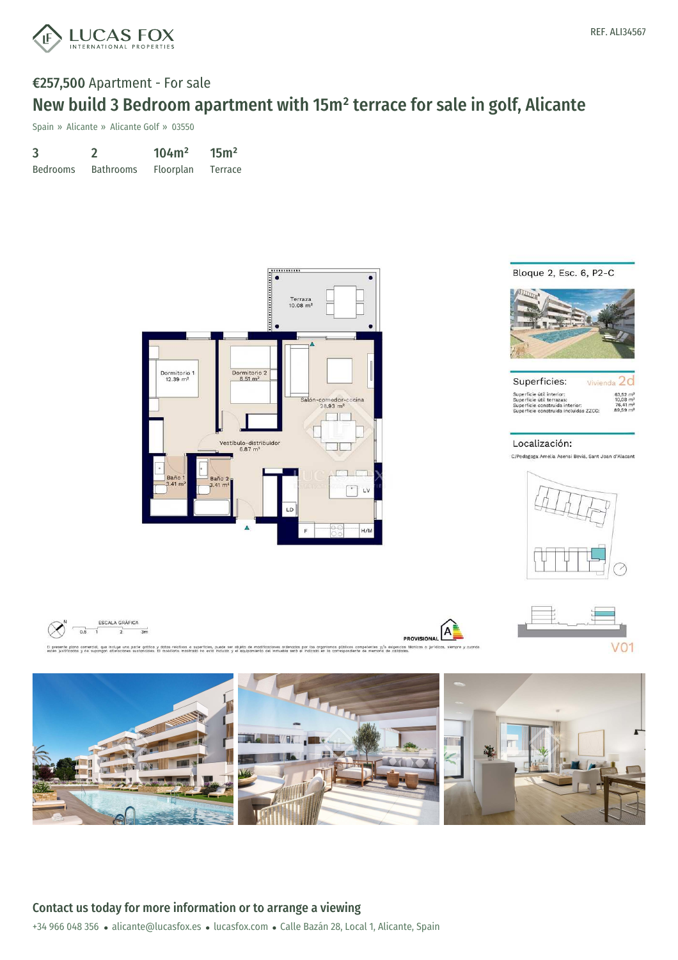

## €257,500 Apartment - For sale New build 3 Bedroom apartment with 15m² terrace for sale in golf, Alicante

Spain » Alicante » Alicante Golf » 03550

| 3               |                  | 104m <sup>2</sup> | 15 <sup>m²</sup> |
|-----------------|------------------|-------------------|------------------|
| <b>Bedrooms</b> | <b>Bathrooms</b> | Floorplan         | Terrace          |







| Superficies:                          | Vivienda               |
|---------------------------------------|------------------------|
| superficie útil interior:             | $63.52 \text{ m}^2$    |
| superficie útil terrazas:             | $10.08$ m <sup>2</sup> |
| superficie construida interior:       | $76.41 \text{ m}^2$    |
| superficie construida incluidas ZZCC: | $89,59 \text{ m}^2$    |

#### Localización:

C/Pedagoga Amelia Asensi Bevia, Sant Joan d'Alacant



 $V<sub>01</sub>$ 







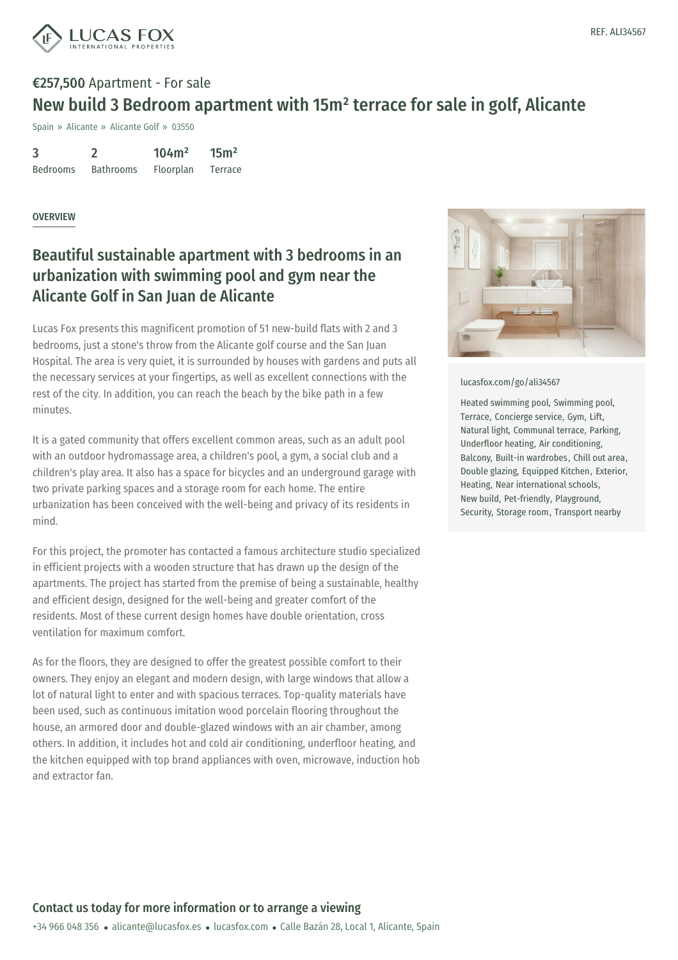

# €257,500 Apartment - For sale New build 3 Bedroom apartment with 15m² terrace for sale in golf, Alicante

Spain » Alicante » Alicante Golf » 03550

3 Bedrooms 2 Bathrooms 104m² Floorplan  $15<sup>m²</sup>$ Terrace

### OVERVIEW

### Beautiful sustainable apartment with 3 bedrooms in an urbanization with swimming pool and gym near the Alicante Golf in San Juan de Alicante

Lucas Fox presents this magnificent promotion of 51 new-build flats with 2 and 3 bedrooms, just a stone's throw from the Alicante golf course and the San Juan Hospital. The area is very quiet, it is surrounded by houses with gardens and puts all the necessary services at your fingertips, as well as excellent connections with the rest of the city. In addition, you can reach the beach by the bike path in a few minutes.

It is a gated community that offers excellent common areas, such as an adult pool with an outdoor hydromassage area, a children's pool, a gym, a social club and a children's play area. It also has a space for bicycles and an underground garage with two private parking spaces and a storage room for each home. The entire urbanization has been conceived with the well-being and privacy of its residents in mind.

For this project, the promoter has contacted a famous architecture studio specialized in efficient projects with a wooden structure that has drawn up the design of the apartments. The project has started from the premise of being a sustainable, healthy and efficient design, designed for the well-being and greater comfort of the residents. Most of these current design homes have double orientation, cross ventilation for maximum comfort.

As for the floors, they are designed to offer the greatest possible comfort to their owners. They enjoy an elegant and modern design, with large windows that allow a lot of natural light to enter and with spacious terraces. Top-quality materials have been used, such as [continuous](mailto:alicante@lucasfox.es) imitation [wood](https://www.lucasfox.com) porcelain flooring throughout the house, an armored door and double-glazed windows with an air chamber, among others. In addition, it includes hot and cold air conditioning, underfloor heating, and the kitchen equipped with top brand appliances with oven, microwave, induction hob and extractor fan.



[lucasfox.com/go/ali34567](https://www.lucasfox.com/go/ali34567)

Heated swimming pool, Swimming pool, Terrace, Concierge service, Gym, Lift, Natural light, Communal terrace, Parking, Underfloor heating, Air conditioning, Balcony, Built-in wardrobes, Chill out area, Double glazing, Equipped Kitchen, Exterior, Heating, Near international schools, New build, Pet-friendly, Playground, Security, Storage room, Transport nearby